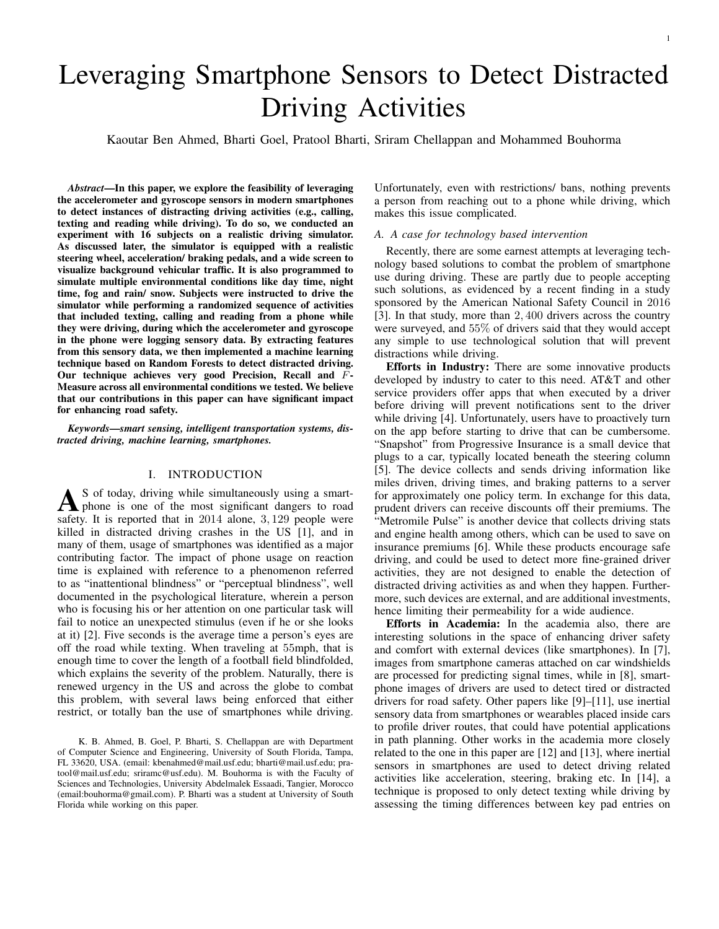# Leveraging Smartphone Sensors to Detect Distracted Driving Activities

Kaoutar Ben Ahmed, Bharti Goel, Pratool Bharti, Sriram Chellappan and Mohammed Bouhorma

*Abstract*—In this paper, we explore the feasibility of leveraging the accelerometer and gyroscope sensors in modern smartphones to detect instances of distracting driving activities (e.g., calling, texting and reading while driving). To do so, we conducted an experiment with 16 subjects on a realistic driving simulator. As discussed later, the simulator is equipped with a realistic steering wheel, acceleration/ braking pedals, and a wide screen to visualize background vehicular traffic. It is also programmed to simulate multiple environmental conditions like day time, night time, fog and rain/ snow. Subjects were instructed to drive the simulator while performing a randomized sequence of activities that included texting, calling and reading from a phone while they were driving, during which the accelerometer and gyroscope in the phone were logging sensory data. By extracting features from this sensory data, we then implemented a machine learning technique based on Random Forests to detect distracted driving. Our technique achieves very good Precision, Recall and F-Measure across all environmental conditions we tested. We believe that our contributions in this paper can have significant impact for enhancing road safety.

*Keywords*—*smart sensing, intelligent transportation systems, distracted driving, machine learning, smartphones.*

# I. INTRODUCTION

 $\sum_{n=1}$  S of today, driving while simultaneously using a smart-S of today, driving while simultaneously using a smartsafety. It is reported that in 2014 alone, 3, 129 people were killed in distracted driving crashes in the US [1], and in many of them, usage of smartphones was identified as a major contributing factor. The impact of phone usage on reaction time is explained with reference to a phenomenon referred to as "inattentional blindness" or "perceptual blindness", well documented in the psychological literature, wherein a person who is focusing his or her attention on one particular task will fail to notice an unexpected stimulus (even if he or she looks at it) [2]. Five seconds is the average time a person's eyes are off the road while texting. When traveling at 55mph, that is enough time to cover the length of a football field blindfolded, which explains the severity of the problem. Naturally, there is renewed urgency in the US and across the globe to combat this problem, with several laws being enforced that either restrict, or totally ban the use of smartphones while driving.

Unfortunately, even with restrictions/ bans, nothing prevents a person from reaching out to a phone while driving, which makes this issue complicated.

1

#### *A. A case for technology based intervention*

Recently, there are some earnest attempts at leveraging technology based solutions to combat the problem of smartphone use during driving. These are partly due to people accepting such solutions, as evidenced by a recent finding in a study sponsored by the American National Safety Council in 2016 [3]. In that study, more than 2, 400 drivers across the country were surveyed, and 55% of drivers said that they would accept any simple to use technological solution that will prevent distractions while driving.

Efforts in Industry: There are some innovative products developed by industry to cater to this need. AT&T and other service providers offer apps that when executed by a driver before driving will prevent notifications sent to the driver while driving [4]. Unfortunately, users have to proactively turn on the app before starting to drive that can be cumbersome. "Snapshot" from Progressive Insurance is a small device that plugs to a car, typically located beneath the steering column [5]. The device collects and sends driving information like miles driven, driving times, and braking patterns to a server for approximately one policy term. In exchange for this data, prudent drivers can receive discounts off their premiums. The "Metromile Pulse" is another device that collects driving stats and engine health among others, which can be used to save on insurance premiums [6]. While these products encourage safe driving, and could be used to detect more fine-grained driver activities, they are not designed to enable the detection of distracted driving activities as and when they happen. Furthermore, such devices are external, and are additional investments, hence limiting their permeability for a wide audience.

Efforts in Academia: In the academia also, there are interesting solutions in the space of enhancing driver safety and comfort with external devices (like smartphones). In [7], images from smartphone cameras attached on car windshields are processed for predicting signal times, while in [8], smartphone images of drivers are used to detect tired or distracted drivers for road safety. Other papers like [9]–[11], use inertial sensory data from smartphones or wearables placed inside cars to profile driver routes, that could have potential applications in path planning. Other works in the academia more closely related to the one in this paper are [12] and [13], where inertial sensors in smartphones are used to detect driving related activities like acceleration, steering, braking etc. In [14], a technique is proposed to only detect texting while driving by assessing the timing differences between key pad entries on

K. B. Ahmed, B. Goel, P. Bharti, S. Chellappan are with Department of Computer Science and Engineering, University of South Florida, Tampa, FL 33620, USA. (email: kbenahmed@mail.usf.edu; bharti@mail.usf.edu; pratool@mail.usf.edu; sriramc@usf.edu). M. Bouhorma is with the Faculty of Sciences and Technologies, University Abdelmalek Essaadi, Tangier, Morocco (email:bouhorma@gmail.com). P. Bharti was a student at University of South Florida while working on this paper.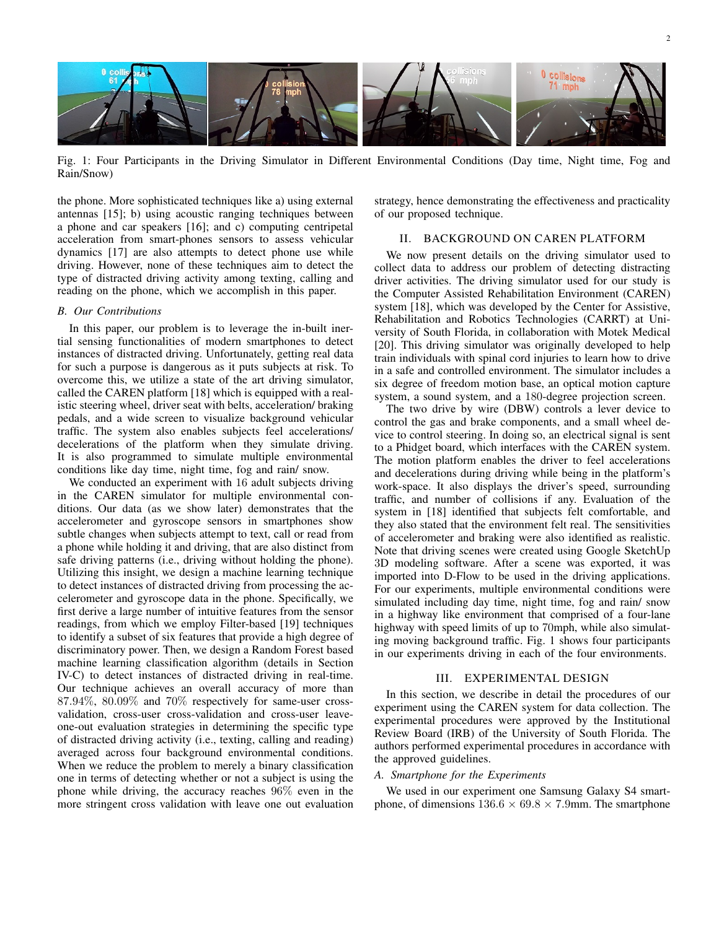

Fig. 1: Four Participants in the Driving Simulator in Different Environmental Conditions (Day time, Night time, Fog and Rain/Snow)

the phone. More sophisticated techniques like a) using external antennas [15]; b) using acoustic ranging techniques between a phone and car speakers [16]; and c) computing centripetal acceleration from smart-phones sensors to assess vehicular dynamics [17] are also attempts to detect phone use while driving. However, none of these techniques aim to detect the type of distracted driving activity among texting, calling and reading on the phone, which we accomplish in this paper.

# *B. Our Contributions*

In this paper, our problem is to leverage the in-built inertial sensing functionalities of modern smartphones to detect instances of distracted driving. Unfortunately, getting real data for such a purpose is dangerous as it puts subjects at risk. To overcome this, we utilize a state of the art driving simulator, called the CAREN platform [18] which is equipped with a realistic steering wheel, driver seat with belts, acceleration/ braking pedals, and a wide screen to visualize background vehicular traffic. The system also enables subjects feel accelerations/ decelerations of the platform when they simulate driving. It is also programmed to simulate multiple environmental conditions like day time, night time, fog and rain/ snow.

We conducted an experiment with 16 adult subjects driving in the CAREN simulator for multiple environmental conditions. Our data (as we show later) demonstrates that the accelerometer and gyroscope sensors in smartphones show subtle changes when subjects attempt to text, call or read from a phone while holding it and driving, that are also distinct from safe driving patterns (i.e., driving without holding the phone). Utilizing this insight, we design a machine learning technique to detect instances of distracted driving from processing the accelerometer and gyroscope data in the phone. Specifically, we first derive a large number of intuitive features from the sensor readings, from which we employ Filter-based [19] techniques to identify a subset of six features that provide a high degree of discriminatory power. Then, we design a Random Forest based machine learning classification algorithm (details in Section IV-C) to detect instances of distracted driving in real-time. Our technique achieves an overall accuracy of more than 87.94%, 80.09% and 70% respectively for same-user crossvalidation, cross-user cross-validation and cross-user leaveone-out evaluation strategies in determining the specific type of distracted driving activity (i.e., texting, calling and reading) averaged across four background environmental conditions. When we reduce the problem to merely a binary classification one in terms of detecting whether or not a subject is using the phone while driving, the accuracy reaches 96% even in the more stringent cross validation with leave one out evaluation

strategy, hence demonstrating the effectiveness and practicality of our proposed technique.

# II. BACKGROUND ON CAREN PLATFORM

We now present details on the driving simulator used to collect data to address our problem of detecting distracting driver activities. The driving simulator used for our study is the Computer Assisted Rehabilitation Environment (CAREN) system [18], which was developed by the Center for Assistive, Rehabilitation and Robotics Technologies (CARRT) at University of South Florida, in collaboration with Motek Medical [20]. This driving simulator was originally developed to help train individuals with spinal cord injuries to learn how to drive in a safe and controlled environment. The simulator includes a six degree of freedom motion base, an optical motion capture system, a sound system, and a 180-degree projection screen.

The two drive by wire (DBW) controls a lever device to control the gas and brake components, and a small wheel device to control steering. In doing so, an electrical signal is sent to a Phidget board, which interfaces with the CAREN system. The motion platform enables the driver to feel accelerations and decelerations during driving while being in the platform's work-space. It also displays the driver's speed, surrounding traffic, and number of collisions if any. Evaluation of the system in [18] identified that subjects felt comfortable, and they also stated that the environment felt real. The sensitivities of accelerometer and braking were also identified as realistic. Note that driving scenes were created using Google SketchUp 3D modeling software. After a scene was exported, it was imported into D-Flow to be used in the driving applications. For our experiments, multiple environmental conditions were simulated including day time, night time, fog and rain/ snow in a highway like environment that comprised of a four-lane highway with speed limits of up to 70mph, while also simulating moving background traffic. Fig. 1 shows four participants in our experiments driving in each of the four environments.

# III. EXPERIMENTAL DESIGN

In this section, we describe in detail the procedures of our experiment using the CAREN system for data collection. The experimental procedures were approved by the Institutional Review Board (IRB) of the University of South Florida. The authors performed experimental procedures in accordance with the approved guidelines.

## *A. Smartphone for the Experiments*

We used in our experiment one Samsung Galaxy S4 smartphone, of dimensions  $136.6 \times 69.8 \times 7.9$ mm. The smartphone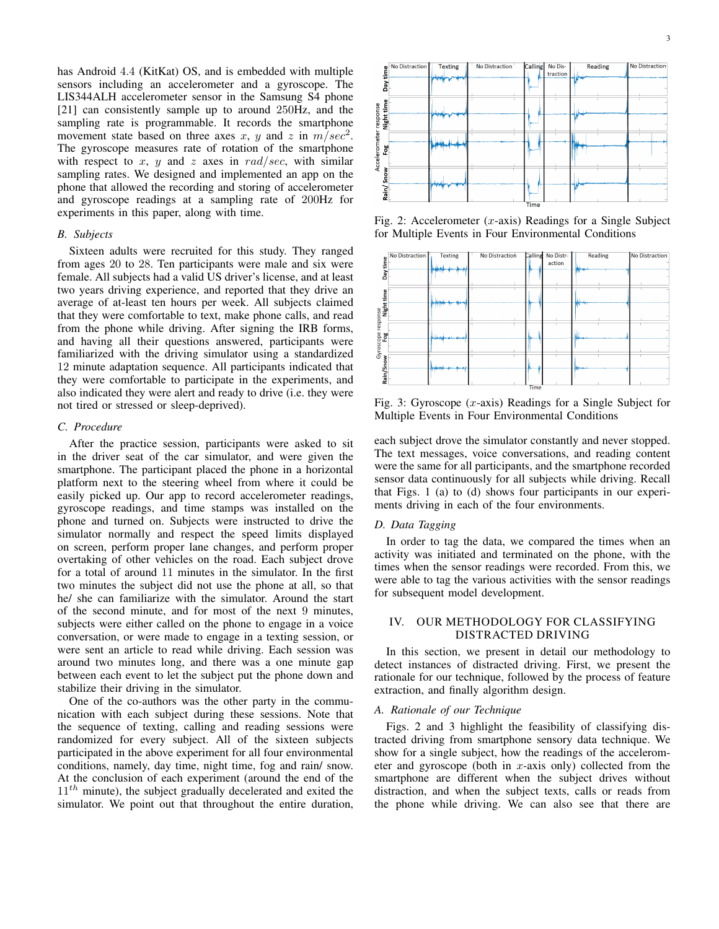has Android 4.4 (KitKat) OS, and is embedded with multiple sensors including an accelerometer and a gyroscope. The LIS344ALH accelerometer sensor in the Samsung S4 phone [21] can consistently sample up to around 250Hz, and the sampling rate is programmable. It records the smartphone movement state based on three axes x, y and z in  $m/sec<sup>2</sup>$ . The gyroscope measures rate of rotation of the smartphone with respect to x, y and z axes in  $rad/sec$ , with similar sampling rates. We designed and implemented an app on the phone that allowed the recording and storing of accelerometer and gyroscope readings at a sampling rate of 200Hz for experiments in this paper, along with time.

# *B. Subjects*

Sixteen adults were recruited for this study. They ranged from ages 20 to 28. Ten participants were male and six were female. All subjects had a valid US driver's license, and at least two years driving experience, and reported that they drive an average of at-least ten hours per week. All subjects claimed that they were comfortable to text, make phone calls, and read from the phone while driving. After signing the IRB forms, and having all their questions answered, participants were familiarized with the driving simulator using a standardized 12 minute adaptation sequence. All participants indicated that they were comfortable to participate in the experiments, and also indicated they were alert and ready to drive (i.e. they were not tired or stressed or sleep-deprived).

## *C. Procedure*

After the practice session, participants were asked to sit in the driver seat of the car simulator, and were given the smartphone. The participant placed the phone in a horizontal platform next to the steering wheel from where it could be easily picked up. Our app to record accelerometer readings, gyroscope readings, and time stamps was installed on the phone and turned on. Subjects were instructed to drive the simulator normally and respect the speed limits displayed on screen, perform proper lane changes, and perform proper overtaking of other vehicles on the road. Each subject drove for a total of around 11 minutes in the simulator. In the first two minutes the subject did not use the phone at all, so that he/ she can familiarize with the simulator. Around the start of the second minute, and for most of the next 9 minutes, subjects were either called on the phone to engage in a voice conversation, or were made to engage in a texting session, or were sent an article to read while driving. Each session was around two minutes long, and there was a one minute gap between each event to let the subject put the phone down and stabilize their driving in the simulator.

One of the co-authors was the other party in the communication with each subject during these sessions. Note that the sequence of texting, calling and reading sessions were randomized for every subject. All of the sixteen subjects participated in the above experiment for all four environmental conditions, namely, day time, night time, fog and rain/ snow. At the conclusion of each experiment (around the end of the  $11<sup>th</sup>$  minute), the subject gradually decelerated and exited the simulator. We point out that throughout the entire duration,



Fig. 2: Accelerometer  $(x$ -axis) Readings for a Single Subject for Multiple Events in Four Environmental Conditions



Fig. 3: Gyroscope  $(x$ -axis) Readings for a Single Subject for Multiple Events in Four Environmental Conditions

each subject drove the simulator constantly and never stopped. The text messages, voice conversations, and reading content were the same for all participants, and the smartphone recorded sensor data continuously for all subjects while driving. Recall that Figs. 1 (a) to (d) shows four participants in our experiments driving in each of the four environments.

#### *D. Data Tagging*

In order to tag the data, we compared the times when an activity was initiated and terminated on the phone, with the times when the sensor readings were recorded. From this, we were able to tag the various activities with the sensor readings for subsequent model development.

# IV. OUR METHODOLOGY FOR CLASSIFYING DISTRACTED DRIVING

In this section, we present in detail our methodology to detect instances of distracted driving. First, we present the rationale for our technique, followed by the process of feature extraction, and finally algorithm design.

# *A. Rationale of our Technique*

Figs. 2 and 3 highlight the feasibility of classifying distracted driving from smartphone sensory data technique. We show for a single subject, how the readings of the accelerometer and gyroscope (both in  $x$ -axis only) collected from the smartphone are different when the subject drives without distraction, and when the subject texts, calls or reads from the phone while driving. We can also see that there are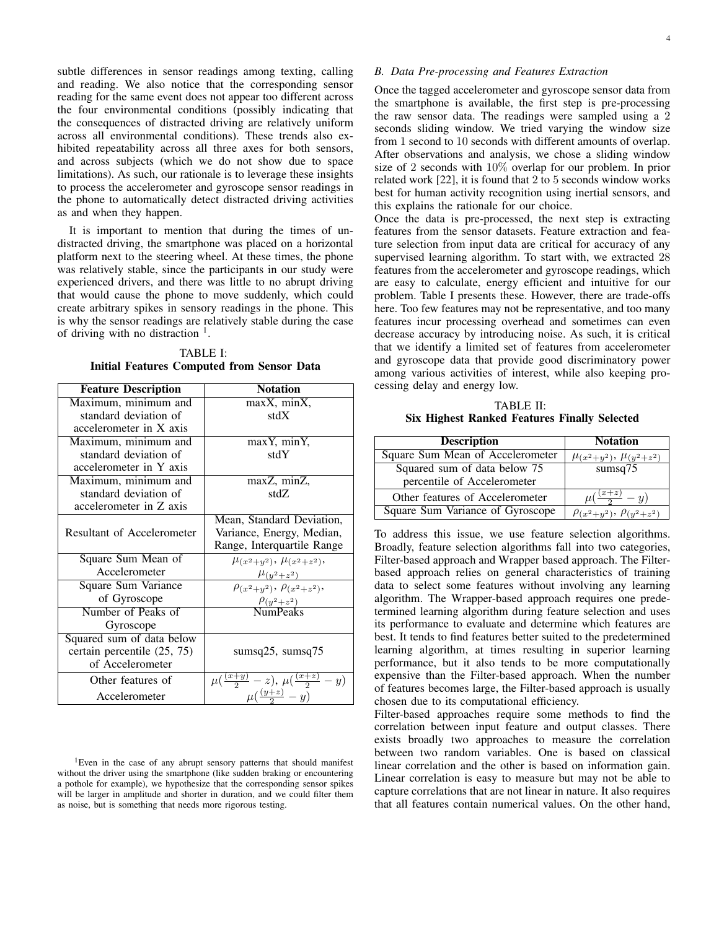subtle differences in sensor readings among texting, calling and reading. We also notice that the corresponding sensor reading for the same event does not appear too different across the four environmental conditions (possibly indicating that the consequences of distracted driving are relatively uniform across all environmental conditions). These trends also exhibited repeatability across all three axes for both sensors, and across subjects (which we do not show due to space limitations). As such, our rationale is to leverage these insights to process the accelerometer and gyroscope sensor readings in the phone to automatically detect distracted driving activities as and when they happen.

It is important to mention that during the times of undistracted driving, the smartphone was placed on a horizontal platform next to the steering wheel. At these times, the phone was relatively stable, since the participants in our study were experienced drivers, and there was little to no abrupt driving that would cause the phone to move suddenly, which could create arbitrary spikes in sensory readings in the phone. This is why the sensor readings are relatively stable during the case of driving with no distraction  $<sup>1</sup>$ .</sup>

| TABLE I:                                          |  |  |  |  |  |
|---------------------------------------------------|--|--|--|--|--|
| <b>Initial Features Computed from Sensor Data</b> |  |  |  |  |  |

| <b>Feature Description</b>        | <b>Notation</b>                                                                   |  |  |
|-----------------------------------|-----------------------------------------------------------------------------------|--|--|
| Maximum, minimum and              | $maxX$ , $minX$ ,                                                                 |  |  |
| standard deviation of             | stdX                                                                              |  |  |
| accelerometer in X axis           |                                                                                   |  |  |
| Maximum, minimum and              | maxY, minY,                                                                       |  |  |
| standard deviation of             | stdY                                                                              |  |  |
| accelerometer in Y axis           |                                                                                   |  |  |
| Maximum, minimum and              | maxZ, minZ,                                                                       |  |  |
| standard deviation of             | stdZ.                                                                             |  |  |
| accelerometer in Z axis           |                                                                                   |  |  |
|                                   | Mean, Standard Deviation,                                                         |  |  |
| <b>Resultant of Accelerometer</b> | Variance, Energy, Median,                                                         |  |  |
|                                   | Range, Interquartile Range                                                        |  |  |
| Square Sum Mean of                | $\mu_{x^2+y^2}, \mu_{x^2+z^2},$                                                   |  |  |
| Accelerometer                     | $\mu_{(y^2+z^2)}$                                                                 |  |  |
| Square Sum Variance               | $\rho_{(x^2+y^2)}, \rho_{(x^2+z^2)},$                                             |  |  |
| of Gyroscope                      | $\rho_{(y^2+z^2)}$                                                                |  |  |
| Number of Peaks of                | <b>NumPeaks</b>                                                                   |  |  |
| Gyroscope                         |                                                                                   |  |  |
| Squared sum of data below         |                                                                                   |  |  |
| certain percentile (25, 75)       | sumsq $25$ , sumsq $75$                                                           |  |  |
| of Accelerometer                  |                                                                                   |  |  |
| Other features of                 | $\frac{\mu(\frac{(x+y)}{2}-z),\, \mu(\frac{(x+z)}{2}-y)}{\mu(\frac{(y+z)}{2}-y)}$ |  |  |
| Accelerometer                     |                                                                                   |  |  |

<sup>1</sup>Even in the case of any abrupt sensory patterns that should manifest without the driver using the smartphone (like sudden braking or encountering a pothole for example), we hypothesize that the corresponding sensor spikes will be larger in amplitude and shorter in duration, and we could filter them as noise, but is something that needs more rigorous testing.

# *B. Data Pre-processing and Features Extraction*

Once the tagged accelerometer and gyroscope sensor data from the smartphone is available, the first step is pre-processing the raw sensor data. The readings were sampled using a 2 seconds sliding window. We tried varying the window size from 1 second to 10 seconds with different amounts of overlap. After observations and analysis, we chose a sliding window size of 2 seconds with 10% overlap for our problem. In prior related work [22], it is found that 2 to 5 seconds window works best for human activity recognition using inertial sensors, and this explains the rationale for our choice.

Once the data is pre-processed, the next step is extracting features from the sensor datasets. Feature extraction and feature selection from input data are critical for accuracy of any supervised learning algorithm. To start with, we extracted 28 features from the accelerometer and gyroscope readings, which are easy to calculate, energy efficient and intuitive for our problem. Table I presents these. However, there are trade-offs here. Too few features may not be representative, and too many features incur processing overhead and sometimes can even decrease accuracy by introducing noise. As such, it is critical that we identify a limited set of features from accelerometer and gyroscope data that provide good discriminatory power among various activities of interest, while also keeping processing delay and energy low.

TABLE II: Six Highest Ranked Features Finally Selected

| <b>Description</b>               | <b>Notation</b>                      |  |
|----------------------------------|--------------------------------------|--|
| Square Sum Mean of Accelerometer | $\mu_{(x^2+y^2)}, \mu_{(y^2+z^2)}$   |  |
| Squared sum of data below 75     | sumsq75                              |  |
| percentile of Accelerometer      |                                      |  |
| Other features of Accelerometer  | $\mu(\frac{(x+z)}{2}-y)$             |  |
| Square Sum Variance of Gyroscope | $\rho_{(x^2+y^2)}, \rho_{(y^2+z^2)}$ |  |

To address this issue, we use feature selection algorithms. Broadly, feature selection algorithms fall into two categories, Filter-based approach and Wrapper based approach. The Filterbased approach relies on general characteristics of training data to select some features without involving any learning algorithm. The Wrapper-based approach requires one predetermined learning algorithm during feature selection and uses its performance to evaluate and determine which features are best. It tends to find features better suited to the predetermined learning algorithm, at times resulting in superior learning performance, but it also tends to be more computationally expensive than the Filter-based approach. When the number of features becomes large, the Filter-based approach is usually chosen due to its computational efficiency.

Filter-based approaches require some methods to find the correlation between input feature and output classes. There exists broadly two approaches to measure the correlation between two random variables. One is based on classical linear correlation and the other is based on information gain. Linear correlation is easy to measure but may not be able to capture correlations that are not linear in nature. It also requires that all features contain numerical values. On the other hand,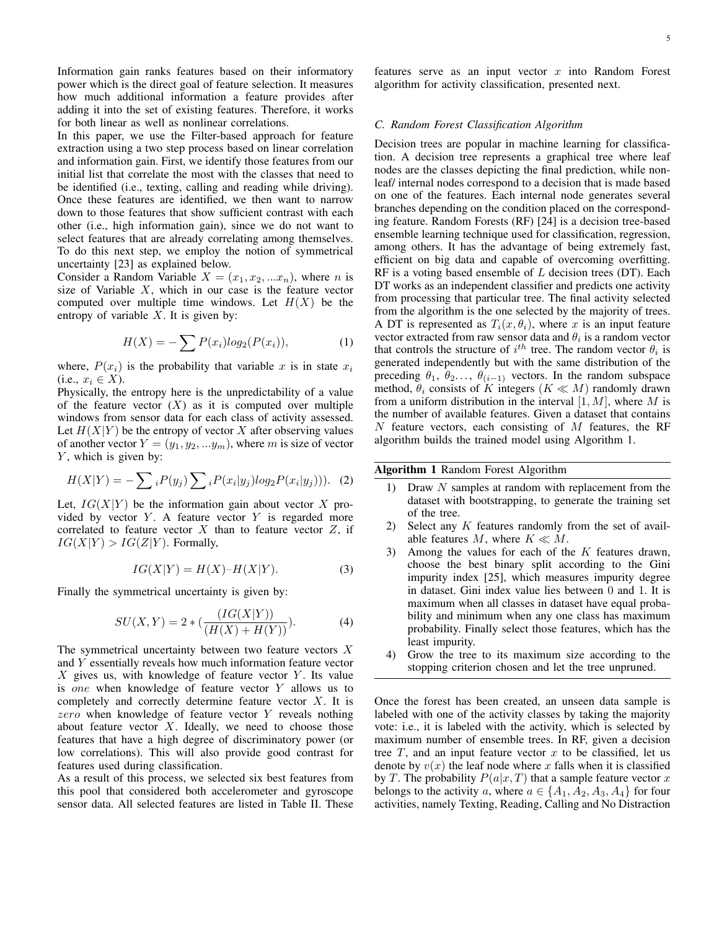Information gain ranks features based on their informatory power which is the direct goal of feature selection. It measures how much additional information a feature provides after adding it into the set of existing features. Therefore, it works for both linear as well as nonlinear correlations.

In this paper, we use the Filter-based approach for feature extraction using a two step process based on linear correlation and information gain. First, we identify those features from our initial list that correlate the most with the classes that need to be identified (i.e., texting, calling and reading while driving). Once these features are identified, we then want to narrow down to those features that show sufficient contrast with each other (i.e., high information gain), since we do not want to select features that are already correlating among themselves. To do this next step, we employ the notion of symmetrical uncertainty [23] as explained below.

Consider a Random Variable  $X = (x_1, x_2, ... x_n)$ , where n is size of Variable  $X$ , which in our case is the feature vector computed over multiple time windows. Let  $H(X)$  be the entropy of variable  $X$ . It is given by:

$$
H(X) = -\sum P(x_i)log_2(P(x_i)),\tag{1}
$$

where,  $P(x_i)$  is the probability that variable x is in state  $x_i$ (i.e.,  $x_i \in X$ ).

Physically, the entropy here is the unpredictability of a value of the feature vector  $(X)$  as it is computed over multiple windows from sensor data for each class of activity assessed. Let  $H(X|Y)$  be the entropy of vector X after observing values of another vector  $Y = (y_1, y_2, ... y_m)$ , where m is size of vector  $Y$ , which is given by:

$$
H(X|Y) = -\sum_{i} P(y_j) \sum_{i} P(x_i|y_j) log_2 P(x_i|y_j))). \quad (2)
$$

Let,  $IG(X|Y)$  be the information gain about vector X provided by vector  $Y$ . A feature vector  $Y$  is regarded more correlated to feature vector  $X$  than to feature vector  $Z$ , if  $IG(X|Y) > IG(Z|Y)$ . Formally,

$$
IG(X|Y) = H(X) - H(X|Y).
$$
\n(3)

Finally the symmetrical uncertainty is given by:

$$
SU(X,Y) = 2 * (\frac{(IG(X|Y))}{(H(X) + H(Y))}).
$$
\n(4)

The symmetrical uncertainty between two feature vectors  $X$ and Y essentially reveals how much information feature vector  $X$  gives us, with knowledge of feature vector  $Y$ . Its value is one when knowledge of feature vector  $Y$  allows us to completely and correctly determine feature vector  $X$ . It is zero when knowledge of feature vector Y reveals nothing about feature vector  $X$ . Ideally, we need to choose those features that have a high degree of discriminatory power (or low correlations). This will also provide good contrast for features used during classification.

As a result of this process, we selected six best features from this pool that considered both accelerometer and gyroscope sensor data. All selected features are listed in Table II. These features serve as an input vector  $x$  into Random Forest algorithm for activity classification, presented next.

# *C. Random Forest Classification Algorithm*

Decision trees are popular in machine learning for classification. A decision tree represents a graphical tree where leaf nodes are the classes depicting the final prediction, while nonleaf/ internal nodes correspond to a decision that is made based on one of the features. Each internal node generates several branches depending on the condition placed on the corresponding feature. Random Forests (RF) [24] is a decision tree-based ensemble learning technique used for classification, regression, among others. It has the advantage of being extremely fast, efficient on big data and capable of overcoming overfitting. RF is a voting based ensemble of  $L$  decision trees (DT). Each DT works as an independent classifier and predicts one activity from processing that particular tree. The final activity selected from the algorithm is the one selected by the majority of trees. A DT is represented as  $T_i(x, \theta_i)$ , where x is an input feature vector extracted from raw sensor data and  $\theta_i$  is a random vector that controls the structure of  $i^{th}$  tree. The random vector  $\theta_i$  is generated independently but with the same distribution of the preceding  $\theta_1$ ,  $\theta_2$ ...,  $\theta_{(i-1)}$  vectors. In the random subspace method,  $\theta_i$  consists of K integers ( $K \ll M$ ) randomly drawn from a uniform distribution in the interval  $[1, M]$ , where M is the number of available features. Given a dataset that contains  $N$  feature vectors, each consisting of  $M$  features, the RF algorithm builds the trained model using Algorithm 1.

Algorithm 1 Random Forest Algorithm

- 1) Draw N samples at random with replacement from the dataset with bootstrapping, to generate the training set of the tree.
- 2) Select any K features randomly from the set of available features M, where  $K \ll M$ .
- 3) Among the values for each of the  $K$  features drawn, choose the best binary split according to the Gini impurity index [25], which measures impurity degree in dataset. Gini index value lies between 0 and 1. It is maximum when all classes in dataset have equal probability and minimum when any one class has maximum probability. Finally select those features, which has the least impurity.
- 4) Grow the tree to its maximum size according to the stopping criterion chosen and let the tree unpruned.

Once the forest has been created, an unseen data sample is labeled with one of the activity classes by taking the majority vote: i.e., it is labeled with the activity, which is selected by maximum number of ensemble trees. In RF, given a decision tree  $T$ , and an input feature vector  $x$  to be classified, let us denote by  $v(x)$  the leaf node where x falls when it is classified by T. The probability  $P(a|x,T)$  that a sample feature vector x belongs to the activity a, where  $a \in \{A_1, A_2, A_3, A_4\}$  for four activities, namely Texting, Reading, Calling and No Distraction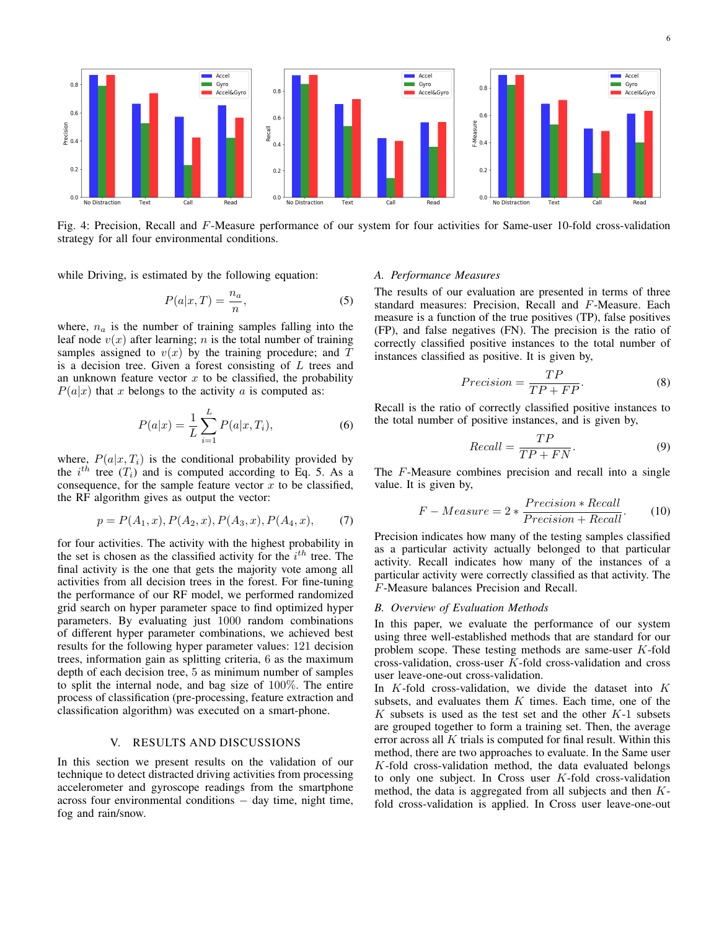

Fig. 4: Precision, Recall and F-Measure performance of our system for four activities for Same-user 10-fold cross-validation strategy for all four environmental conditions.

while Driving, is estimated by the following equation:

$$
P(a|x,T) = \frac{n_a}{n},\tag{5}
$$

where,  $n_a$  is the number of training samples falling into the leaf node  $v(x)$  after learning; n is the total number of training samples assigned to  $v(x)$  by the training procedure; and T is a decision tree. Given a forest consisting of  $L$  trees and an unknown feature vector  $x$  to be classified, the probability  $P(a|x)$  that x belongs to the activity a is computed as:

$$
P(a|x) = \frac{1}{L} \sum_{i=1}^{L} P(a|x, T_i),
$$
 (6)

where,  $P(a|x, T_i)$  is the conditional probability provided by the  $i^{th}$  tree  $(T_i)$  and is computed according to Eq. 5. As a consequence, for the sample feature vector  $x$  to be classified, the RF algorithm gives as output the vector:

$$
p = P(A_1, x), P(A_2, x), P(A_3, x), P(A_4, x), \tag{7}
$$

for four activities. The activity with the highest probability in the set is chosen as the classified activity for the  $i<sup>th</sup>$  tree. The final activity is the one that gets the majority vote among all activities from all decision trees in the forest. For fine-tuning the performance of our RF model, we performed randomized grid search on hyper parameter space to find optimized hyper parameters. By evaluating just 1000 random combinations of different hyper parameter combinations, we achieved best results for the following hyper parameter values: 121 decision trees, information gain as splitting criteria, 6 as the maximum depth of each decision tree, 5 as minimum number of samples to split the internal node, and bag size of 100%. The entire process of classification (pre-processing, feature extraction and classification algorithm) was executed on a smart-phone.

## V. RESULTS AND DISCUSSIONS

In this section we present results on the validation of our technique to detect distracted driving activities from processing accelerometer and gyroscope readings from the smartphone across four environmental conditions − day time, night time, fog and rain/snow.

#### *A. Performance Measures*

The results of our evaluation are presented in terms of three standard measures: Precision, Recall and F-Measure. Each measure is a function of the true positives (TP), false positives (FP), and false negatives (FN). The precision is the ratio of correctly classified positive instances to the total number of instances classified as positive. It is given by,

$$
Precision = \frac{TP}{TP + FP}.\tag{8}
$$

Recall is the ratio of correctly classified positive instances to the total number of positive instances, and is given by,

$$
Recall = \frac{TP}{TP + FN}.\tag{9}
$$

The F-Measure combines precision and recall into a single value. It is given by,

$$
F-Measure = 2 * \frac{Precision * Recall}{Precision + Recall}.
$$
 (10)

Precision indicates how many of the testing samples classified as a particular activity actually belonged to that particular activity. Recall indicates how many of the instances of a particular activity were correctly classified as that activity. The F-Measure balances Precision and Recall.

#### *B. Overview of Evaluation Methods*

In this paper, we evaluate the performance of our system using three well-established methods that are standard for our problem scope. These testing methods are same-user K-fold cross-validation, cross-user K-fold cross-validation and cross user leave-one-out cross-validation.

In  $K$ -fold cross-validation, we divide the dataset into  $K$ subsets, and evaluates them  $K$  times. Each time, one of the  $K$  subsets is used as the test set and the other  $K-1$  subsets are grouped together to form a training set. Then, the average error across all K trials is computed for final result. Within this method, there are two approaches to evaluate. In the Same user K-fold cross-validation method, the data evaluated belongs to only one subject. In Cross user  $K$ -fold cross-validation method, the data is aggregated from all subjects and then Kfold cross-validation is applied. In Cross user leave-one-out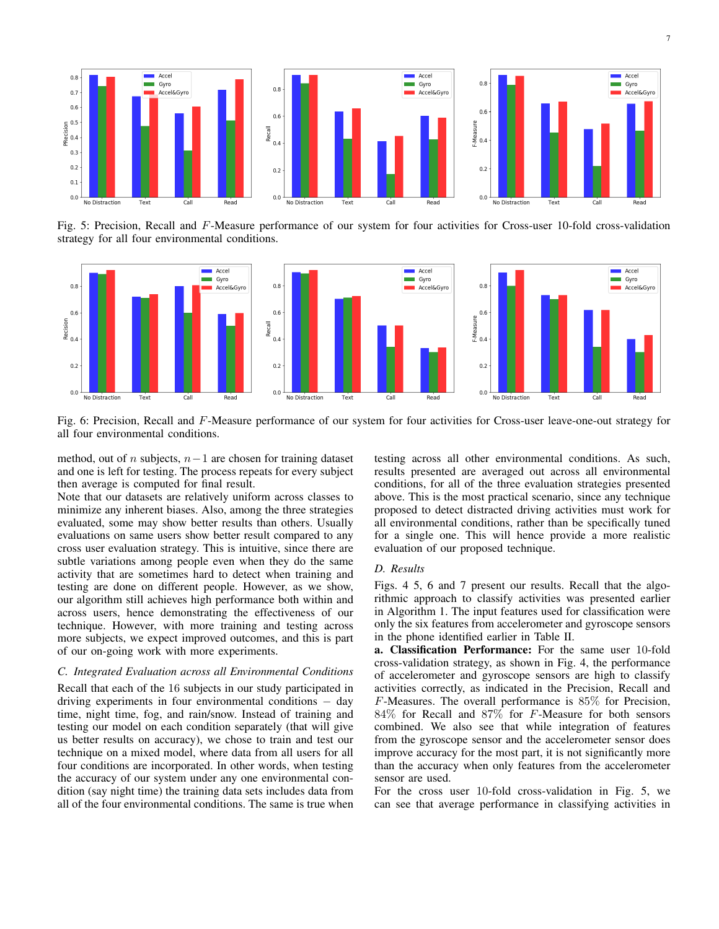

Fig. 5: Precision, Recall and F-Measure performance of our system for four activities for Cross-user 10-fold cross-validation strategy for all four environmental conditions.



Fig. 6: Precision, Recall and F-Measure performance of our system for four activities for Cross-user leave-one-out strategy for all four environmental conditions.

method, out of n subjects,  $n-1$  are chosen for training dataset and one is left for testing. The process repeats for every subject then average is computed for final result.

Note that our datasets are relatively uniform across classes to minimize any inherent biases. Also, among the three strategies evaluated, some may show better results than others. Usually evaluations on same users show better result compared to any cross user evaluation strategy. This is intuitive, since there are subtle variations among people even when they do the same activity that are sometimes hard to detect when training and testing are done on different people. However, as we show, our algorithm still achieves high performance both within and across users, hence demonstrating the effectiveness of our technique. However, with more training and testing across more subjects, we expect improved outcomes, and this is part of our on-going work with more experiments.

# *C. Integrated Evaluation across all Environmental Conditions*

Recall that each of the 16 subjects in our study participated in driving experiments in four environmental conditions  $-$  day time, night time, fog, and rain/snow. Instead of training and testing our model on each condition separately (that will give us better results on accuracy), we chose to train and test our technique on a mixed model, where data from all users for all four conditions are incorporated. In other words, when testing the accuracy of our system under any one environmental condition (say night time) the training data sets includes data from all of the four environmental conditions. The same is true when testing across all other environmental conditions. As such, results presented are averaged out across all environmental conditions, for all of the three evaluation strategies presented above. This is the most practical scenario, since any technique proposed to detect distracted driving activities must work for all environmental conditions, rather than be specifically tuned for a single one. This will hence provide a more realistic evaluation of our proposed technique.

## *D. Results*

Figs. 4 5, 6 and 7 present our results. Recall that the algorithmic approach to classify activities was presented earlier in Algorithm 1. The input features used for classification were only the six features from accelerometer and gyroscope sensors in the phone identified earlier in Table II.

a. Classification Performance: For the same user 10-fold cross-validation strategy, as shown in Fig. 4, the performance of accelerometer and gyroscope sensors are high to classify activities correctly, as indicated in the Precision, Recall and F-Measures. The overall performance is 85% for Precision, 84% for Recall and 87% for F-Measure for both sensors combined. We also see that while integration of features from the gyroscope sensor and the accelerometer sensor does improve accuracy for the most part, it is not significantly more than the accuracy when only features from the accelerometer sensor are used.

For the cross user 10-fold cross-validation in Fig. 5, we can see that average performance in classifying activities in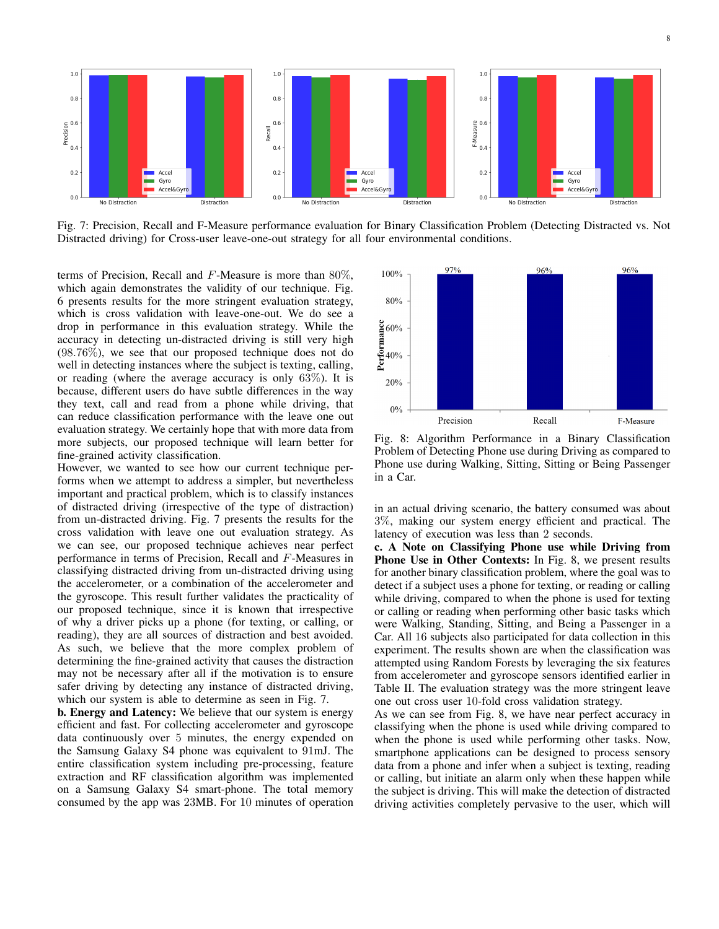

Fig. 7: Precision, Recall and F-Measure performance evaluation for Binary Classification Problem (Detecting Distracted vs. Not Distracted driving) for Cross-user leave-one-out strategy for all four environmental conditions.

terms of Precision, Recall and  $F$ -Measure is more than 80%, which again demonstrates the validity of our technique. Fig. 6 presents results for the more stringent evaluation strategy, which is cross validation with leave-one-out. We do see a drop in performance in this evaluation strategy. While the accuracy in detecting un-distracted driving is still very high (98.76%), we see that our proposed technique does not do well in detecting instances where the subject is texting, calling, or reading (where the average accuracy is only 63%). It is because, different users do have subtle differences in the way they text, call and read from a phone while driving, that can reduce classification performance with the leave one out evaluation strategy. We certainly hope that with more data from more subjects, our proposed technique will learn better for fine-grained activity classification.

However, we wanted to see how our current technique performs when we attempt to address a simpler, but nevertheless important and practical problem, which is to classify instances of distracted driving (irrespective of the type of distraction) from un-distracted driving. Fig. 7 presents the results for the cross validation with leave one out evaluation strategy. As we can see, our proposed technique achieves near perfect performance in terms of Precision, Recall and F-Measures in classifying distracted driving from un-distracted driving using the accelerometer, or a combination of the accelerometer and the gyroscope. This result further validates the practicality of our proposed technique, since it is known that irrespective of why a driver picks up a phone (for texting, or calling, or reading), they are all sources of distraction and best avoided. As such, we believe that the more complex problem of determining the fine-grained activity that causes the distraction may not be necessary after all if the motivation is to ensure safer driving by detecting any instance of distracted driving, which our system is able to determine as seen in Fig. 7.

b. Energy and Latency: We believe that our system is energy efficient and fast. For collecting accelerometer and gyroscope data continuously over 5 minutes, the energy expended on the Samsung Galaxy S4 phone was equivalent to 91mJ. The entire classification system including pre-processing, feature extraction and RF classification algorithm was implemented on a Samsung Galaxy S4 smart-phone. The total memory consumed by the app was 23MB. For 10 minutes of operation



Fig. 8: Algorithm Performance in a Binary Classification Problem of Detecting Phone use during Driving as compared to Phone use during Walking, Sitting, Sitting or Being Passenger in a Car.

in an actual driving scenario, the battery consumed was about 3%, making our system energy efficient and practical. The latency of execution was less than 2 seconds.

c. A Note on Classifying Phone use while Driving from Phone Use in Other Contexts: In Fig. 8, we present results for another binary classification problem, where the goal was to detect if a subject uses a phone for texting, or reading or calling while driving, compared to when the phone is used for texting or calling or reading when performing other basic tasks which were Walking, Standing, Sitting, and Being a Passenger in a Car. All 16 subjects also participated for data collection in this experiment. The results shown are when the classification was attempted using Random Forests by leveraging the six features from accelerometer and gyroscope sensors identified earlier in Table II. The evaluation strategy was the more stringent leave one out cross user 10-fold cross validation strategy.

As we can see from Fig. 8, we have near perfect accuracy in classifying when the phone is used while driving compared to when the phone is used while performing other tasks. Now, smartphone applications can be designed to process sensory data from a phone and infer when a subject is texting, reading or calling, but initiate an alarm only when these happen while the subject is driving. This will make the detection of distracted driving activities completely pervasive to the user, which will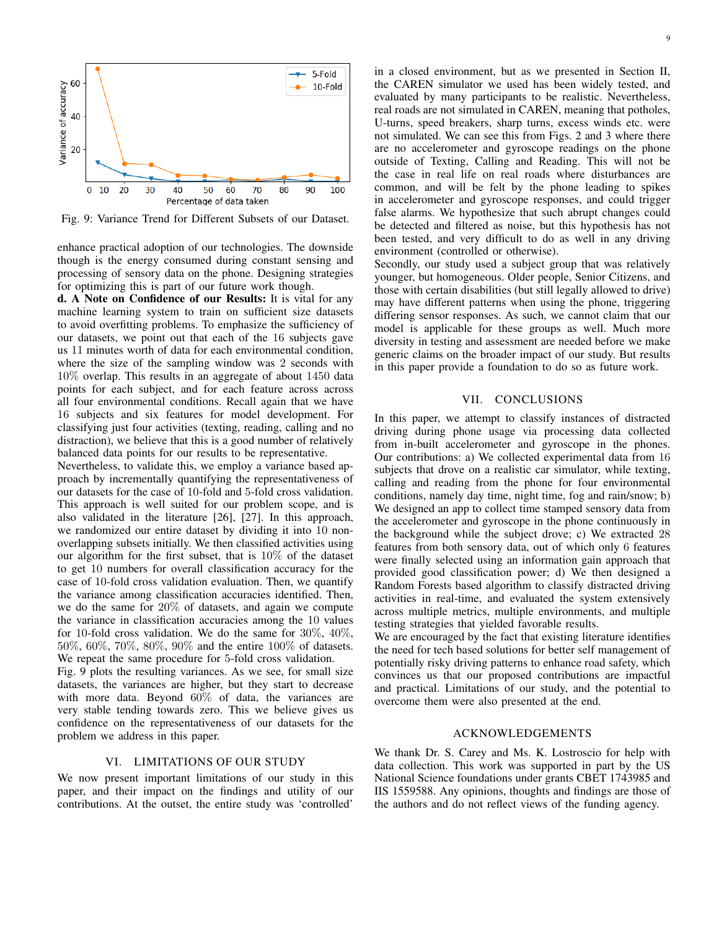

Fig. 9: Variance Trend for Different Subsets of our Dataset.

enhance practical adoption of our technologies. The downside though is the energy consumed during constant sensing and processing of sensory data on the phone. Designing strategies for optimizing this is part of our future work though.

d. A Note on Confidence of our Results: It is vital for any machine learning system to train on sufficient size datasets to avoid overfitting problems. To emphasize the sufficiency of our datasets, we point out that each of the 16 subjects gave us 11 minutes worth of data for each environmental condition, where the size of the sampling window was 2 seconds with 10% overlap. This results in an aggregate of about 1450 data points for each subject, and for each feature across across all four environmental conditions. Recall again that we have 16 subjects and six features for model development. For classifying just four activities (texting, reading, calling and no distraction), we believe that this is a good number of relatively balanced data points for our results to be representative.

Nevertheless, to validate this, we employ a variance based approach by incrementally quantifying the representativeness of our datasets for the case of 10-fold and 5-fold cross validation. This approach is well suited for our problem scope, and is also validated in the literature [26], [27]. In this approach, we randomized our entire dataset by dividing it into 10 nonoverlapping subsets initially. We then classified activities using our algorithm for the first subset, that is  $10\%$  of the dataset to get 10 numbers for overall classification accuracy for the case of 10-fold cross validation evaluation. Then, we quantify the variance among classification accuracies identified. Then, we do the same for 20% of datasets, and again we compute the variance in classification accuracies among the 10 values for 10-fold cross validation. We do the same for 30%, 40%, 50%, 60%, 70%, 80%, 90% and the entire 100% of datasets. We repeat the same procedure for 5-fold cross validation.

Fig. 9 plots the resulting variances. As we see, for small size datasets, the variances are higher, but they start to decrease with more data. Beyond  $60\%$  of data, the variances are very stable tending towards zero. This we believe gives us confidence on the representativeness of our datasets for the problem we address in this paper.

## VI. LIMITATIONS OF OUR STUDY

We now present important limitations of our study in this paper, and their impact on the findings and utility of our contributions. At the outset, the entire study was 'controlled'

in a closed environment, but as we presented in Section II, the CAREN simulator we used has been widely tested, and evaluated by many participants to be realistic. Nevertheless, real roads are not simulated in CAREN, meaning that potholes, U-turns, speed breakers, sharp turns, excess winds etc. were not simulated. We can see this from Figs. 2 and 3 where there are no accelerometer and gyroscope readings on the phone outside of Texting, Calling and Reading. This will not be the case in real life on real roads where disturbances are common, and will be felt by the phone leading to spikes in accelerometer and gyroscope responses, and could trigger false alarms. We hypothesize that such abrupt changes could be detected and filtered as noise, but this hypothesis has not been tested, and very difficult to do as well in any driving environment (controlled or otherwise).

Secondly, our study used a subject group that was relatively younger, but homogeneous. Older people, Senior Citizens, and those with certain disabilities (but still legally allowed to drive) may have different patterns when using the phone, triggering differing sensor responses. As such, we cannot claim that our model is applicable for these groups as well. Much more diversity in testing and assessment are needed before we make generic claims on the broader impact of our study. But results in this paper provide a foundation to do so as future work.

#### VII. CONCLUSIONS

In this paper, we attempt to classify instances of distracted driving during phone usage via processing data collected from in-built accelerometer and gyroscope in the phones. Our contributions: a) We collected experimental data from 16 subjects that drove on a realistic car simulator, while texting, calling and reading from the phone for four environmental conditions, namely day time, night time, fog and rain/snow; b) We designed an app to collect time stamped sensory data from the accelerometer and gyroscope in the phone continuously in the background while the subject drove; c) We extracted 28 features from both sensory data, out of which only 6 features were finally selected using an information gain approach that provided good classification power; d) We then designed a Random Forests based algorithm to classify distracted driving activities in real-time, and evaluated the system extensively across multiple metrics, multiple environments, and multiple testing strategies that yielded favorable results.

We are encouraged by the fact that existing literature identifies the need for tech based solutions for better self management of potentially risky driving patterns to enhance road safety, which convinces us that our proposed contributions are impactful and practical. Limitations of our study, and the potential to overcome them were also presented at the end.

#### ACKNOWLEDGEMENTS

We thank Dr. S. Carey and Ms. K. Lostroscio for help with data collection. This work was supported in part by the US National Science foundations under grants CBET 1743985 and IIS 1559588. Any opinions, thoughts and findings are those of the authors and do not reflect views of the funding agency.